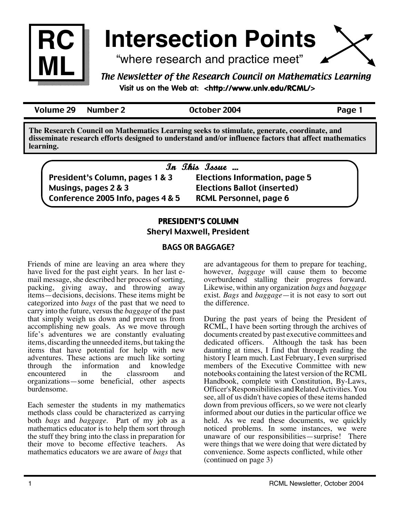

# **Intersection Points**

"where research and practice meet"

### *The Newsletter of the Research Council on Mathematics Learning* **Visit us on the Web at: <http://www.unlv.edu/RCML/>**

Volume 29 Number 2 October 2004 Page 1

**The Research Council on Mathematics Learning seeks to stimulate, generate, coordinate, and disseminate research efforts designed to understand and/or influence factors that affect mathematics learning.**

|                                   | In This Issue                        |  |
|-----------------------------------|--------------------------------------|--|
| President's Column, pages 1 & 3   | <b>Elections Information, page 5</b> |  |
| Musings, pages 2 & 3              | <b>Elections Ballot (inserted)</b>   |  |
| Conference 2005 Info, pages 4 & 5 | <b>RCML Personnel, page 6</b>        |  |

# PRESIDENT'S COLUMN

Sheryl Maxwell, President

### BAGS OR BAGGAGE?

Friends of mine are leaving an area where they have lived for the past eight years. In her last email message, she described her process of sorting, packing, giving away, and throwing away items—decisions, decisions. These items might be categorized into *bags* of the past that we need to carry into the future, versus the *baggage* of the past that simply weigh us down and prevent us from accomplishing new goals. As we move through life's adventures we are constantly evaluating items, discarding the unneeded items, but taking the items that have potential for help with new adventures. These actions are much like sorting information and knowledge<br>in the classroom and encountered organizations—some beneficial, other aspects burdensome.

Each semester the students in my mathematics methods class could be characterized as carrying both *bags* and *baggage.* Part of my job as a mathematics educator is to help them sort through the stuff they bring into the class in preparation for their move to become effective teachers. As mathematics educators we are aware of *bags* that

are advantageous for them to prepare for teaching, however, *baggage* will cause them to become overburdened stalling their progress forward. Likewise, within any organization *bags* and *baggage*  exist. *Bags* and *baggage*—it is not easy to sort out the difference.

During the past years of being the President of RCML, I have been sorting through the archives of documents created by past executive committees and dedicated officers. Although the task has been daunting at times, I find that through reading the history I learn much. Last February, I even surprised members of the Executive Committee with new notebooks containing the latest version of the RCML Handbook, complete with Constitution, By-Laws, Officer's Responsibilities and Related Activities. You see, all of us didn't have copies of these items handed down from previous officers, so we were not clearly informed about our duties in the particular office we held. As we read these documents, we quickly noticed problems. In some instances, we were unaware of our responsibilities—surprise! There were things that we were doing that were dictated by convenience. Some aspects conflicted, while other (continued on page 3)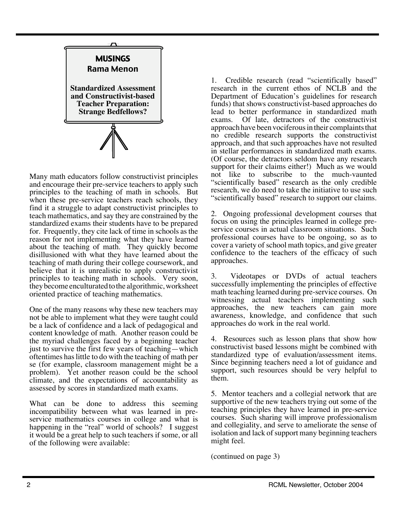

Many math educators follow constructivist principles and encourage their pre-service teachers to apply such principles to the teaching of math in schools. But when these pre-service teachers reach schools, they find it a struggle to adapt constructivist principles to teach mathematics, and say they are constrained by the standardized exams their students have to be prepared for. Frequently, they cite lack of time in schools as the reason for not implementing what they have learned about the teaching of math. They quickly become disillusioned with what they have learned about the teaching of math during their college coursework, and believe that it is unrealistic to apply constructivist principles to teaching math in schools. Very soon, they become enculturated to the algorithmic, worksheet oriented practice of teaching mathematics.

One of the many reasons why these new teachers may not be able to implement what they were taught could be a lack of confidence and a lack of pedagogical and content knowledge of math. Another reason could be the myriad challenges faced by a beginning teacher just to survive the first few years of teaching—which oftentimes has little to do with the teaching of math per se (for example, classroom management might be a problem). Yet another reason could be the school climate, and the expectations of accountability as assessed by scores in standardized math exams.

What can be done to address this seeming incompatibility between what was learned in preservice mathematics courses in college and what is happening in the "real" world of schools? I suggest it would be a great help to such teachers if some, or all of the following were available:

1. Credible research (read "scientifically based" research in the current ethos of NCLB and the Department of Education's guidelines for research funds) that shows constructivist-based approaches do lead to better performance in standardized math exams. Of late, detractors of the constructivist approach have been vociferous in their complaints that no credible research supports the constructivist approach, and that such approaches have not resulted in stellar performances in standardized math exams. (Of course, the detractors seldom have any research support for their claims either!) Much as we would not like to subscribe to the much-vaunted "scientifically based" research as the only credible research, we do need to take the initiative to use such "scientifically based" research to support our claims.

2. Ongoing professional development courses that focus on using the principles learned in college preservice courses in actual classroom situations. Such professional courses have to be ongoing, so as to cover a variety of school math topics, and give greater confidence to the teachers of the efficacy of such approaches.

3. Videotapes or DVDs of actual teachers successfully implementing the principles of effective math teaching learned during pre-service courses. On witnessing actual teachers implementing such approaches, the new teachers can gain more awareness, knowledge, and confidence that such approaches do work in the real world.

4. Resources such as lesson plans that show how constructivist based lessons might be combined with standardized type of evaluation/assessment items. Since beginning teachers need a lot of guidance and support, such resources should be very helpful to them.

5. Mentor teachers and a collegial network that are supportive of the new teachers trying out some of the teaching principles they have learned in pre-service courses. Such sharing will improve professionalism and collegiality, and serve to ameliorate the sense of isolation and lack of support many beginning teachers might feel.

(continued on page 3)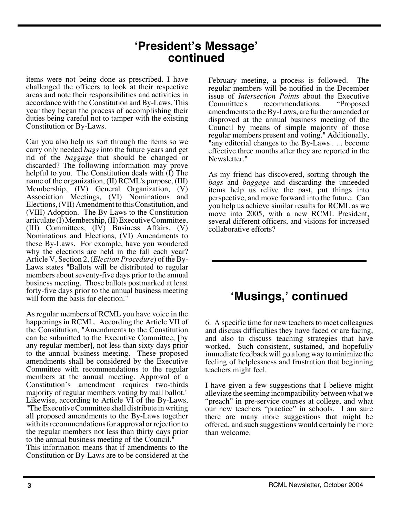# **'President's Message' continued**

items were not being done as prescribed. I have challenged the officers to look at their respective areas and note their responsibilities and activities in accordance with the Constitution and By-Laws. This year they began the process of accomplishing their duties being careful not to tamper with the existing Constitution or By-Laws.

Can you also help us sort through the items so we carry only needed *bags* into the future years and get rid of the *baggage* that should be changed or discarded? The following information may prove helpful to you. The Constitution deals with (I) The name of the organization, (II) RCML's purpose, (III) Membership, (IV) General Organization, (V) Association Meetings, (VI) Nominations and Elections, (VII) Amendment to this Constitution, and (VIII) Adoption. The By-Laws to the Constitution articulate (I) Membership, (II) Executive Committee, (III) Committees, (IV) Business Affairs, (V) Nominations and Elections, (VI) Amendments to these By-Laws. For example, have you wondered why the elections are held in the fall each year? Article V, Section 2, (*Election Procedure*) of the By-Laws states "Ballots will be distributed to regular members about seventy-five days prior to the annual business meeting. Those ballots postmarked at least forty-five days prior to the annual business meeting will form the basis for election."

As regular members of RCML you have voice in the happenings in RCML. According the Article VII of the Constitution, "Amendments to the Constitution can be submitted to the Executive Committee, [by any regular member], not less than sixty days prior to the annual business meeting. These proposed amendments shall be considered by the Executive Committee with recommendations to the regular members at the annual meeting. Approval of a Constitution's amendment requires two-thirds majority of regular members voting by mail ballot." Likewise, according to Article VI of the By-Laws, "The Executive Committee shall distribute in writing all proposed amendments to the By-Laws together with its recommendations for approval or rejection to the regular members not less than thirty days prior to the annual business meeting of the Council."

This information means that if amendments to the Constitution or By-Laws are to be considered at the February meeting, a process is followed. The regular members will be notified in the December issue of *Intersection Points* about the Executive Committee's recommendations. "Proposed amendments to the By-Laws, are further amended or disproved at the annual business meeting of the Council by means of simple majority of those regular members present and voting." Additionally, "any editorial changes to the By-Laws . . . become effective three months after they are reported in the Newsletter."

As my friend has discovered, sorting through the *bags* and *baggage* and discarding the unneeded items help us relive the past, put things into perspective, and move forward into the future. Can you help us achieve similar results for RCML as we move into 2005, with a new RCML President, several different officers, and visions for increased collaborative efforts?

# **'Musings,' continued**

6. A specific time for new teachers to meet colleagues and discuss difficulties they have faced or are facing, and also to discuss teaching strategies that have worked. Such consistent, sustained, and hopefully immediate feedback will go a long way to minimize the feeling of helplessness and frustration that beginning teachers might feel.

I have given a few suggestions that I believe might alleviate the seeming incompatibility between what we "preach" in pre-service courses at college, and what our new teachers "practice" in schools. I am sure there are many more suggestions that might be offered, and such suggestions would certainly be more than welcome.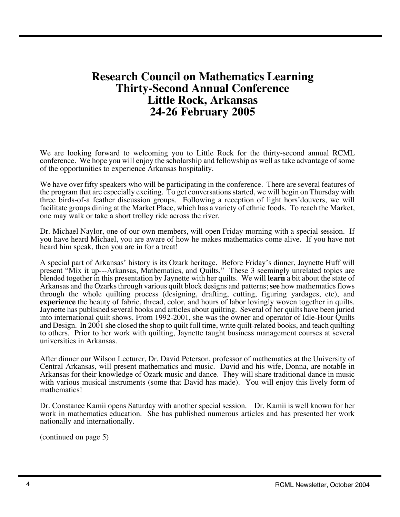# **Research Council on Mathematics Learning Thirty-Second Annual Conference Little Rock, Arkansas 24-26 February 2005**

We are looking forward to welcoming you to Little Rock for the thirty-second annual RCML conference. We hope you will enjoy the scholarship and fellowship as well as take advantage of some of the opportunities to experience Arkansas hospitality.

We have over fifty speakers who will be participating in the conference. There are several features of the program that are especially exciting. To get conversations started, we will begin on Thursday with three birds-of-a feather discussion groups. Following a reception of light hors'douvers, we will facilitate groups dining at the Market Place, which has a variety of ethnic foods. To reach the Market, one may walk or take a short trolley ride across the river.

Dr. Michael Naylor, one of our own members, will open Friday morning with a special session. If you have heard Michael, you are aware of how he makes mathematics come alive. If you have not heard him speak, then you are in for a treat!

A special part of Arkansas' history is its Ozark heritage. Before Friday's dinner, Jaynette Huff will present "Mix it up---Arkansas, Mathematics, and Quilts." These 3 seemingly unrelated topics are blended together in this presentation by Jaynette with her quilts. We will **learn** a bit about the state of Arkansas and the Ozarks through various quilt block designs and patterns; **see** how mathematics flows through the whole quilting process (designing, drafting, cutting, figuring yardages, etc), and **experience** the beauty of fabric, thread, color, and hours of labor lovingly woven together in quilts. Jaynette has published several books and articles about quilting. Several of her quilts have been juried into international quilt shows. From 1992-2001, she was the owner and operator of Idle-Hour Quilts and Design. In 2001 she closed the shop to quilt full time, write quilt-related books, and teach quilting to others. Prior to her work with quilting, Jaynette taught business management courses at several universities in Arkansas.

After dinner our Wilson Lecturer, Dr. David Peterson, professor of mathematics at the University of Central Arkansas, will present mathematics and music. David and his wife, Donna, are notable in Arkansas for their knowledge of Ozark music and dance. They will share traditional dance in music with various musical instruments (some that David has made). You will enjoy this lively form of mathematics!

Dr. Constance Kamii opens Saturday with another special session. Dr. Kamii is well known for her work in mathematics education. She has published numerous articles and has presented her work nationally and internationally.

(continued on page 5)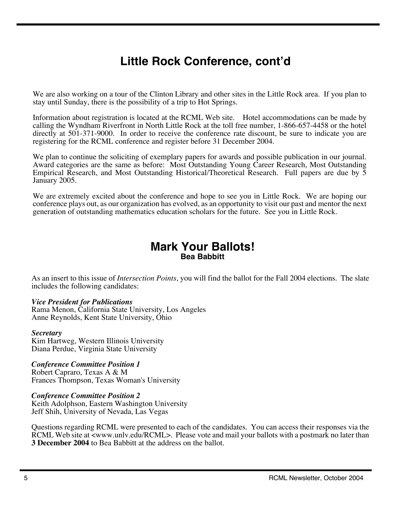# **Little Rock Conference, cont'd**

We are also working on a tour of the Clinton Library and other sites in the Little Rock area. If you plan to stay until Sunday, there is the possibility of a trip to Hot Springs.

Information about registration is located at the RCML Web site. Hotel accommodations can be made by calling the Wyndham Riverfront in North Little Rock at the toll free number, 1-866-657-4458 or the hotel directly at 501-371-9000. In order to receive the conference rate discount, be sure to indicate you are registering for the RCML conference and register before 31 December 2004.

We plan to continue the soliciting of exemplary papers for awards and possible publication in our journal. Award categories are the same as before: Most Outstanding Young Career Research, Most Outstanding Empirical Research, and Most Outstanding Historical/Theoretical Research. Full papers are due by 5 January 2005.

We are extremely excited about the conference and hope to see you in Little Rock. We are hoping our conference plays out, as our organization has evolved, as an opportunity to visit our past and mentor the next generation of outstanding mathematics education scholars for the future. See you in Little Rock.

### **Mark Your Ballots! Bea Babbitt**

As an insert to this issue of *Intersection Points*, you will find the ballot for the Fall 2004 elections. The slate includes the following candidates:

#### *Vice President for Publications*

Rama Menon, California State University, Los Angeles Anne Reynolds, Kent State University, Ohio

#### *Secretary*

Kim Hartweg, Western Illinois University Diana Perdue, Virginia State University

#### *Conference Committee Position 1*

Robert Capraro, Texas A & M Frances Thompson, Texas Woman's University

#### *Conference Committee Position 2*

Keith Adolphson, Eastern Washington University Jeff Shih, University of Nevada, Las Vegas

Questions regarding RCML were presented to each of the candidates. You can access their responses via the RCML Web site at <www.unlv.edu/RCML>. Please vote and mail your ballots with a postmark no later than **3 December 2004** to Bea Babbitt at the address on the ballot.